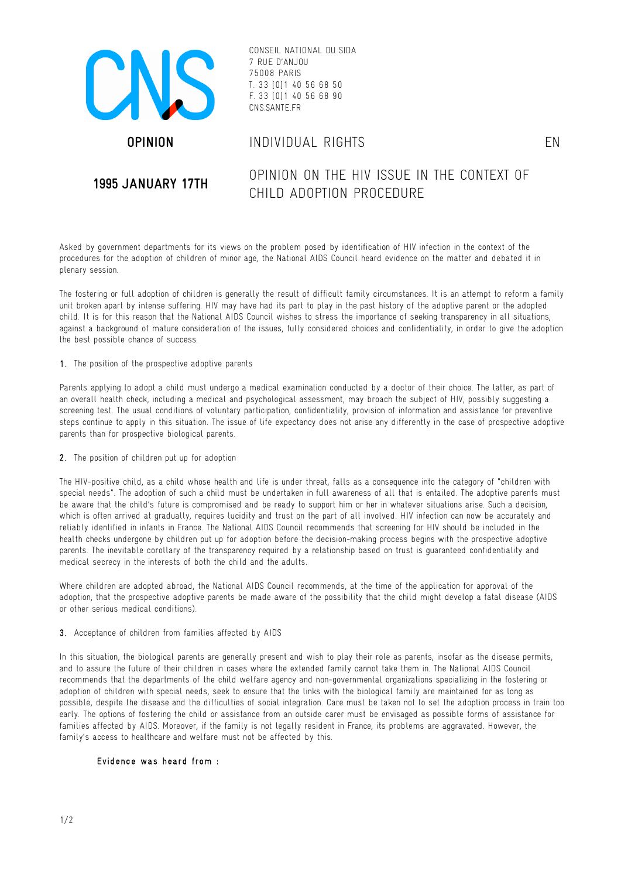

CONSEIL NATIONAL DU SIDA 7 RUE D'ANJOU 75008 PARIS T. 33 [0]1 40 56 68 50 F. 33 [0]1 40 56 68 90 CNS.SANTE.FR

# **OPINION** INDIVIDUAL RIGHTS EN

# **1995 JANUARY 17TH** OPINION ON THE HIV ISSUE IN THE CONTEXT OF CHILD ADOPTION PROCEDURE

Asked by government departments for its views on the problem posed by identification of HIV infection in the context of the procedures for the adoption of children of minor age, the National AIDS Council heard evidence on the matter and debated it in plenary session.

The fostering or full adoption of children is generally the result of difficult family circumstances. It is an attempt to reform a family unit broken apart by intense suffering. HIV may have had its part to play in the past history of the adoptive parent or the adopted child. It is for this reason that the National AIDS Council wishes to stress the importance of seeking transparency in all situations, against a background of mature consideration of the issues, fully considered choices and confidentiality, in order to give the adoption the best possible chance of success.

## 1 . The position of the prospective adoptive parents

Parents applying to adopt a child must undergo a medical examination conducted by a doctor of their choice. The latter, as part of an overall health check, including a medical and psychological assessment, may broach the subject of HIV, possibly suggesting a screening test. The usual conditions of voluntary participation, confidentiality, provision of information and assistance for preventive steps continue to apply in this situation. The issue of life expectancy does not arise any differently in the case of prospective adoptive parents than for prospective biological parents.

#### 2. The position of children put up for adoption

The HIV-positive child, as a child whose health and life is under threat, falls as a consequence into the category of "children with special needs". The adoption of such a child must be undertaken in full awareness of all that is entailed. The adoptive parents must be aware that the child's future is compromised and be ready to support him or her in whatever situations arise. Such a decision, which is often arrived at gradually, requires lucidity and trust on the part of all involved. HIV infection can now be accurately and reliably identified in infants in France. The National AIDS Council recommends that screening for HIV should be included in the health checks undergone by children put up for adoption before the decision-making process begins with the prospective adoptive parents. The inevitable corollary of the transparency required by a relationship based on trust is guaranteed confidentiality and medical secrecy in the interests of both the child and the adults.

Where children are adopted abroad, the National AIDS Council recommends, at the time of the application for approval of the adoption, that the prospective adoptive parents be made aware of the possibility that the child might develop a fatal disease (AIDS or other serious medical conditions).

# 3. Acceptance of children from families affected by AIDS

In this situation, the biological parents are generally present and wish to play their role as parents, insofar as the disease permits, and to assure the future of their children in cases where the extended family cannot take them in. The National AIDS Council recommends that the departments of the child welfare agency and non-governmental organizations specializing in the fostering or adoption of children with special needs, seek to ensure that the links with the biological family are maintained for as long as possible, despite the disease and the difficulties of social integration. Care must be taken not to set the adoption process in train too early. The options of fostering the child or assistance from an outside carer must be envisaged as possible forms of assistance for families affected by AIDS. Moreover, if the family is not legally resident in France, its problems are aggravated. However, the family's access to healthcare and welfare must not be affected by this.

# Evidence was heard from :